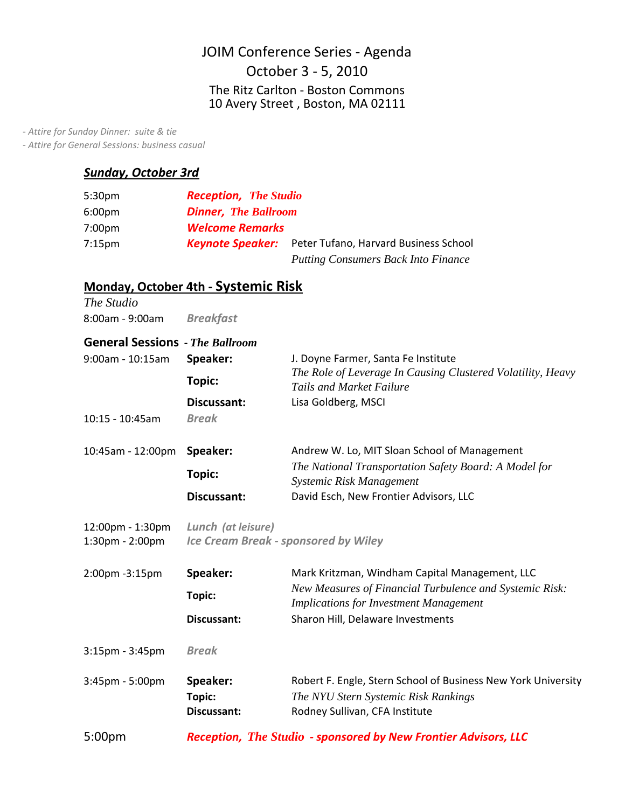# JOIM Conference Series ‐ Agenda 10 Avery Street , Boston, MA 02111 October 3 ‐ 5, 2010 The Ritz Carlton ‐ Boston Commons

 *‐ Attire for Sunday Dinner: suite & tie*

 *‐ Attire for General Sessions: business casual*

## *Sunday, October 3rd*

| 5:30 <sub>pm</sub> | <b>Reception, The Studio</b> |                                            |
|--------------------|------------------------------|--------------------------------------------|
| 6:00 <sub>pm</sub> | <b>Dinner, The Ballroom</b>  |                                            |
| 7:00 <sub>pm</sub> | <b>Welcome Remarks</b>       |                                            |
| 7:15 <sub>pm</sub> | <b>Keynote Speaker:</b>      | Peter Tufano, Harvard Business School      |
|                    |                              | <b>Putting Consumers Back Into Finance</b> |

### **Monday, October 4th ‐ Systemic Risk**

| The Studio<br>8:00am - 9:00am                                                      | <b>Breakfast</b>                                                  |                                                                                                                                                                                                 |
|------------------------------------------------------------------------------------|-------------------------------------------------------------------|-------------------------------------------------------------------------------------------------------------------------------------------------------------------------------------------------|
| <b>General Sessions</b> - The Ballroom<br>$9:00$ am - 10:15am<br>$10:15 - 10:45am$ | Speaker:<br>Topic:<br>Discussant:<br><b>Break</b>                 | J. Doyne Farmer, Santa Fe Institute<br>The Role of Leverage In Causing Clustered Volatility, Heavy<br><b>Tails and Market Failure</b><br>Lisa Goldberg, MSCI                                    |
| 10:45am - 12:00pm                                                                  | Speaker:<br>Topic:<br>Discussant:                                 | Andrew W. Lo, MIT Sloan School of Management<br>The National Transportation Safety Board: A Model for<br>Systemic Risk Management<br>David Esch, New Frontier Advisors, LLC                     |
| 12:00pm - 1:30pm<br>1:30pm - 2:00pm                                                | Lunch (at leisure)<br><b>Ice Cream Break - sponsored by Wiley</b> |                                                                                                                                                                                                 |
| 2:00pm -3:15pm                                                                     | Speaker:<br>Topic:<br>Discussant:                                 | Mark Kritzman, Windham Capital Management, LLC<br>New Measures of Financial Turbulence and Systemic Risk:<br><b>Implications for Investment Management</b><br>Sharon Hill, Delaware Investments |
| $3:15$ pm - $3:45$ pm                                                              | <b>Break</b>                                                      |                                                                                                                                                                                                 |
| 3:45pm - 5:00pm                                                                    | Speaker:<br>Topic:<br>Discussant:                                 | Robert F. Engle, Stern School of Business New York University<br>The NYU Stern Systemic Risk Rankings<br>Rodney Sullivan, CFA Institute                                                         |
| 5:00 <sub>pm</sub>                                                                 | Reception, The Studio - sponsored by New Frontier Advisors, LLC   |                                                                                                                                                                                                 |